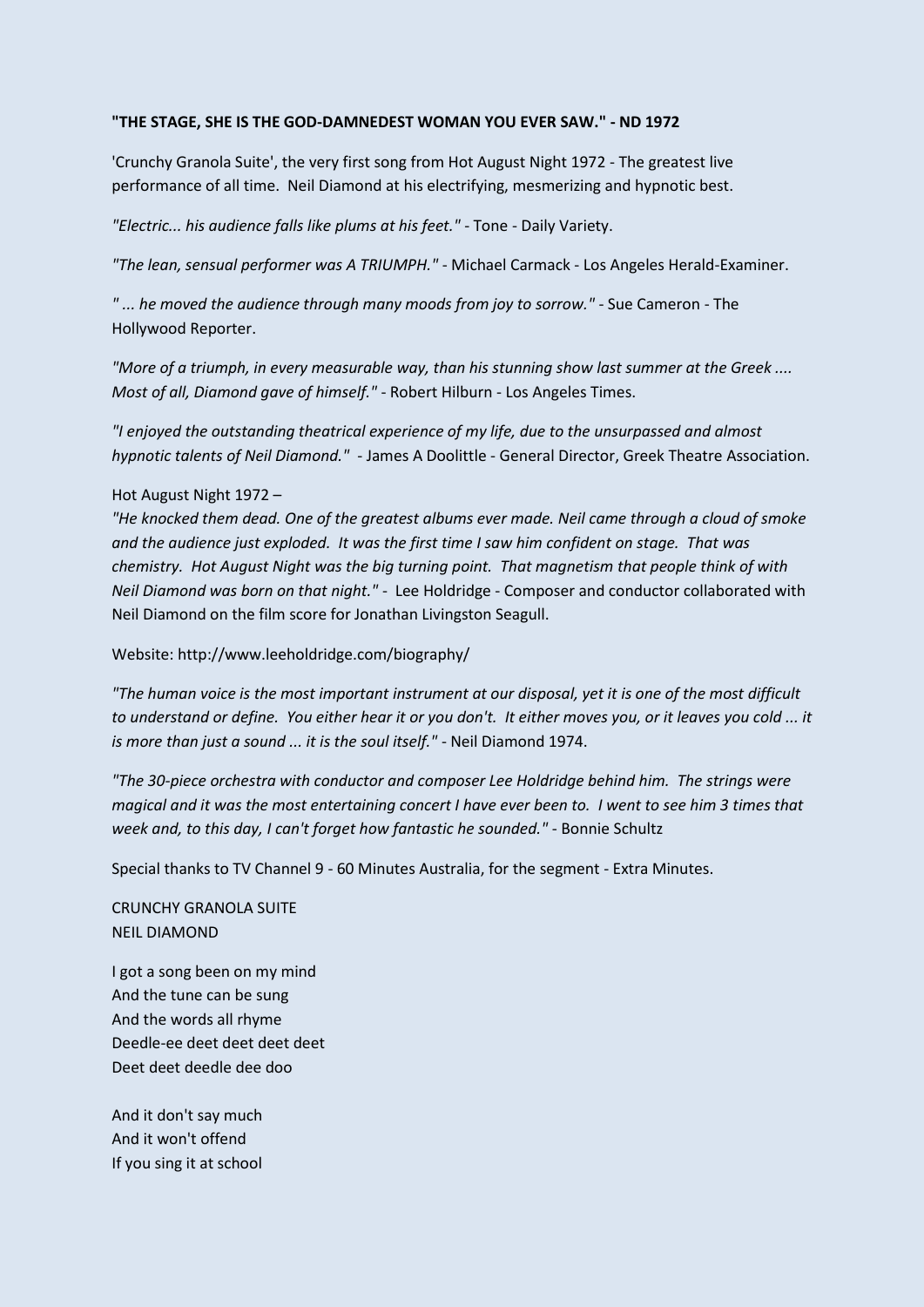## **"THE STAGE, SHE IS THE GOD-DAMNEDEST WOMAN YOU EVER SAW." - ND 1972**

'Crunchy Granola Suite', the very first song from Hot August Night 1972 - The greatest live performance of all time. Neil Diamond at his electrifying, mesmerizing and hypnotic best.

*"Electric... his audience falls like plums at his feet."* - Tone - Daily Variety.

*"The lean, sensual performer was A TRIUMPH."* - Michael Carmack - Los Angeles Herald-Examiner.

*" ... he moved the audience through many moods from joy to sorrow."* - Sue Cameron - The Hollywood Reporter.

*"More of a triumph, in every measurable way, than his stunning show last summer at the Greek .... Most of all, Diamond gave of himself."* - Robert Hilburn - Los Angeles Times.

*"I enjoyed the outstanding theatrical experience of my life, due to the unsurpassed and almost hypnotic talents of Neil Diamond."* - James A Doolittle - General Director, Greek Theatre Association.

Hot August Night 1972 –

*"He knocked them dead. One of the greatest albums ever made. Neil came through a cloud of smoke and the audience just exploded. It was the first time I saw him confident on stage. That was chemistry. Hot August Night was the big turning point. That magnetism that people think of with Neil Diamond was born on that night."* - Lee Holdridge - Composer and conductor collaborated with Neil Diamond on the film score for Jonathan Livingston Seagull.

Website: http://www.leeholdridge.com/biography/

*"The human voice is the most important instrument at our disposal, yet it is one of the most difficult to understand or define. You either hear it or you don't. It either moves you, or it leaves you cold ... it is more than just a sound ... it is the soul itself."* - Neil Diamond 1974.

*"The 30-piece orchestra with conductor and composer Lee Holdridge behind him. The strings were magical and it was the most entertaining concert I have ever been to. I went to see him 3 times that week and, to this day, I can't forget how fantastic he sounded."* - Bonnie Schultz

Special thanks to TV Channel 9 - 60 Minutes Australia, for the segment - Extra Minutes.

CRUNCHY GRANOLA SUITE NEIL DIAMOND

I got a song been on my mind And the tune can be sung And the words all rhyme Deedle-ee deet deet deet deet Deet deet deedle dee doo

And it don't say much And it won't offend If you sing it at school